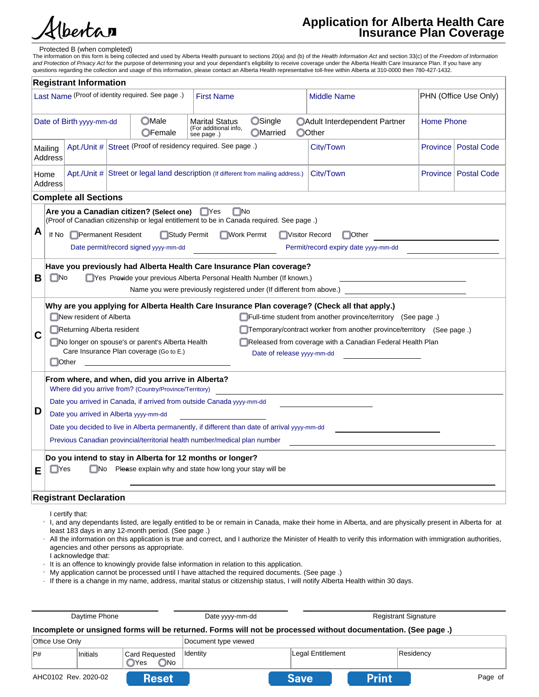

# **Application for Alberta Health Care Insurance Plan Coverage**

#### Protected B (when completed)

The information on this form is being collected and used by Alberta Health pursuant to sections 20(a) and (b) of the *Health Information Act* and section 33(c) of the *Freedom of Information*<br>*and Protection of Privacy Act* 

|                                                                                                                                                                                                                                 |                                                                                                                                                                                                                                                                                                                                                                                                                                                                                                                               | <b>Registrant Information</b> |  |                                                                                                                                                                                                                        |                                                   |  |                                                                               |                 |                    |
|---------------------------------------------------------------------------------------------------------------------------------------------------------------------------------------------------------------------------------|-------------------------------------------------------------------------------------------------------------------------------------------------------------------------------------------------------------------------------------------------------------------------------------------------------------------------------------------------------------------------------------------------------------------------------------------------------------------------------------------------------------------------------|-------------------------------|--|------------------------------------------------------------------------------------------------------------------------------------------------------------------------------------------------------------------------|---------------------------------------------------|--|-------------------------------------------------------------------------------|-----------------|--------------------|
|                                                                                                                                                                                                                                 | Last Name (Proof of identity required. See page.)<br>PHN (Office Use Only)<br><b>First Name</b><br><b>Middle Name</b>                                                                                                                                                                                                                                                                                                                                                                                                         |                               |  |                                                                                                                                                                                                                        |                                                   |  |                                                                               |                 |                    |
| <b>OSingle</b><br><b>OMale</b><br><b>Marital Status</b><br><b>Home Phone</b><br>Date of Birth yyyy-mm-dd<br><b>OAdult Interdependent Partner</b><br>(For additional info,<br><b>OMarried</b><br>OOther<br>OFemale<br>see page.) |                                                                                                                                                                                                                                                                                                                                                                                                                                                                                                                               |                               |  |                                                                                                                                                                                                                        |                                                   |  |                                                                               |                 |                    |
|                                                                                                                                                                                                                                 | Mailing<br><b>Address</b>                                                                                                                                                                                                                                                                                                                                                                                                                                                                                                     |                               |  | Apt./Unit # Street (Proof of residency required. See page.)                                                                                                                                                            |                                                   |  | City/Town                                                                     | <b>Province</b> | <b>Postal Code</b> |
|                                                                                                                                                                                                                                 | Home<br><b>Address</b>                                                                                                                                                                                                                                                                                                                                                                                                                                                                                                        |                               |  | Apt./Unit #   Street or legal land description (If different from mailing address.)                                                                                                                                    |                                                   |  | City/Town                                                                     | <b>Province</b> | <b>Postal Code</b> |
|                                                                                                                                                                                                                                 |                                                                                                                                                                                                                                                                                                                                                                                                                                                                                                                               | <b>Complete all Sections</b>  |  |                                                                                                                                                                                                                        |                                                   |  |                                                                               |                 |                    |
| А                                                                                                                                                                                                                               | If No                                                                                                                                                                                                                                                                                                                                                                                                                                                                                                                         | Permanent Resident            |  | Are you a Canadian citizen? (Select one)<br>(Proof of Canadian citizenship or legal entitlement to be in Canada required. See page.)<br>Study Permit<br>Date permit/record signed yyyy-mm-dd                           | $\square$ No<br>$\Box$ Yes<br><b>■Work Permit</b> |  | <b>Nisitor Record</b><br>$\Box$ Other<br>Permit/record expiry date yyyy-mm-dd |                 |                    |
| в                                                                                                                                                                                                                               | $\square$ No                                                                                                                                                                                                                                                                                                                                                                                                                                                                                                                  |                               |  | Have you previously had Alberta Health Care Insurance Plan coverage?<br>□ Yes Previde your previous Alberta Personal Health Number (If known.)<br>Name you were previously registered under (If different from above.) |                                                   |  |                                                                               |                 |                    |
| С                                                                                                                                                                                                                               | (Check all that applying for Alberta Health Care Insurance Plan coverage? (Check all that apply.)<br>$\Box$ New resident of Alberta<br>$\Box$ Full-time student from another province/territory (See page.)<br>Returning Alberta resident<br>Temporary/contract worker from another province/territory (See page.)<br>No longer on spouse's or parent's Alberta Health<br>Released from coverage with a Canadian Federal Health Plan<br>Care Insurance Plan coverage (Go to E.)<br>Date of release yyyy-mm-dd<br><b>Other</b> |                               |  |                                                                                                                                                                                                                        |                                                   |  |                                                                               |                 |                    |
|                                                                                                                                                                                                                                 |                                                                                                                                                                                                                                                                                                                                                                                                                                                                                                                               |                               |  | From where, and when, did you arrive in Alberta?<br>Where did you arrive from? (Country/Province/Territory)                                                                                                            |                                                   |  |                                                                               |                 |                    |
|                                                                                                                                                                                                                                 | Date you arrived in Canada, if arrived from outside Canada yyyy-mm-dd                                                                                                                                                                                                                                                                                                                                                                                                                                                         |                               |  |                                                                                                                                                                                                                        |                                                   |  |                                                                               |                 |                    |
| D                                                                                                                                                                                                                               | Date you arrived in Alberta yyyy-mm-dd                                                                                                                                                                                                                                                                                                                                                                                                                                                                                        |                               |  |                                                                                                                                                                                                                        |                                                   |  |                                                                               |                 |                    |
|                                                                                                                                                                                                                                 | Date you decided to live in Alberta permanently, if different than date of arrival yyyy-mm-dd                                                                                                                                                                                                                                                                                                                                                                                                                                 |                               |  |                                                                                                                                                                                                                        |                                                   |  |                                                                               |                 |                    |
| Previous Canadian provincial/territorial health number/medical plan number                                                                                                                                                      |                                                                                                                                                                                                                                                                                                                                                                                                                                                                                                                               |                               |  |                                                                                                                                                                                                                        |                                                   |  |                                                                               |                 |                    |
| Е                                                                                                                                                                                                                               | <b>TYes</b>                                                                                                                                                                                                                                                                                                                                                                                                                                                                                                                   |                               |  | Do you intend to stay in Alberta for 12 months or longer?<br>$\Box$ No $\Box$ Please explain why and state how long your stay will be                                                                                  |                                                   |  |                                                                               |                 |                    |
|                                                                                                                                                                                                                                 | <b>Registrant Declaration</b>                                                                                                                                                                                                                                                                                                                                                                                                                                                                                                 |                               |  |                                                                                                                                                                                                                        |                                                   |  |                                                                               |                 |                    |
|                                                                                                                                                                                                                                 |                                                                                                                                                                                                                                                                                                                                                                                                                                                                                                                               | I certify that:               |  |                                                                                                                                                                                                                        |                                                   |  |                                                                               |                 |                    |

- $^{\circ}$  I, and any dependants listed, are legally entitled to be or remain in Canada, make their home in Alberta, and are physically present in Alberta for at least 183 days in any 12-month period. (See page .)
- All the information on this application is true and correct, and I authorize the Minister of Health to verify this information with immigration authorities, agencies and other persons as appropriate. n
- I acknowledge that:
- It is an offence to knowingly provide false information in relation to this application.
- My application cannot be processed until I have attached the required documents. (See page .) n
- $\,\cdot\,$  If there is a change in my name, address, marital status or citizenship status, I will notify Alberta Health within 30 days.

| Daytime Phone          |          |                                                 | Date yyyy-mm-dd      | <b>Registrant Signature</b>                                                                                   |           |
|------------------------|----------|-------------------------------------------------|----------------------|---------------------------------------------------------------------------------------------------------------|-----------|
|                        |          |                                                 |                      | Incomplete or unsigned forms will be returned. Forms will not be processed without documentation. (See page.) |           |
| <b>Office Use Only</b> |          |                                                 | Document type viewed |                                                                                                               |           |
| P#                     | Initials | <sup>1</sup> Card Requested<br>Yes<br><b>No</b> | Identity             | Legal Entitlement                                                                                             | Residency |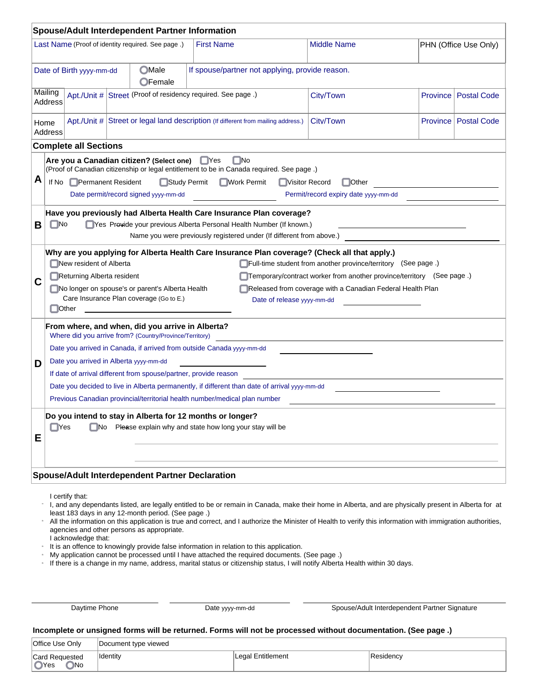|        | <b>Spouse/Adult Interdependent Partner Information</b>                                                                                                                                                                                                                                                                                                                                                                                                                                                                                                                                                                            |                                                                                                                                                                                                                                                                                                                                                                    |                                                             |                                                                                                                                                                                                                      |           |                 |                               |  |  |
|--------|-----------------------------------------------------------------------------------------------------------------------------------------------------------------------------------------------------------------------------------------------------------------------------------------------------------------------------------------------------------------------------------------------------------------------------------------------------------------------------------------------------------------------------------------------------------------------------------------------------------------------------------|--------------------------------------------------------------------------------------------------------------------------------------------------------------------------------------------------------------------------------------------------------------------------------------------------------------------------------------------------------------------|-------------------------------------------------------------|----------------------------------------------------------------------------------------------------------------------------------------------------------------------------------------------------------------------|-----------|-----------------|-------------------------------|--|--|
|        | Last Name (Proof of identity required. See page.)<br><b>First Name</b><br><b>Middle Name</b><br>PHN (Office Use Only)                                                                                                                                                                                                                                                                                                                                                                                                                                                                                                             |                                                                                                                                                                                                                                                                                                                                                                    |                                                             |                                                                                                                                                                                                                      |           |                 |                               |  |  |
|        | <b>OMale</b><br>If spouse/partner not applying, provide reason.<br>Date of Birth yyyy-mm-dd<br>OFemale                                                                                                                                                                                                                                                                                                                                                                                                                                                                                                                            |                                                                                                                                                                                                                                                                                                                                                                    |                                                             |                                                                                                                                                                                                                      |           |                 |                               |  |  |
|        | Mailing<br><b>Address</b>                                                                                                                                                                                                                                                                                                                                                                                                                                                                                                                                                                                                         |                                                                                                                                                                                                                                                                                                                                                                    | Apt./Unit # Street (Proof of residency required. See page.) |                                                                                                                                                                                                                      | City/Town | <b>Province</b> | <b>Postal Code</b>            |  |  |
|        | Home<br><b>Address</b>                                                                                                                                                                                                                                                                                                                                                                                                                                                                                                                                                                                                            |                                                                                                                                                                                                                                                                                                                                                                    |                                                             | Apt./Unit # Street or legal land description (If different from mailing address.)                                                                                                                                    | City/Town |                 | <b>Province   Postal Code</b> |  |  |
|        |                                                                                                                                                                                                                                                                                                                                                                                                                                                                                                                                                                                                                                   | <b>Complete all Sections</b>                                                                                                                                                                                                                                                                                                                                       |                                                             |                                                                                                                                                                                                                      |           |                 |                               |  |  |
| А      |                                                                                                                                                                                                                                                                                                                                                                                                                                                                                                                                                                                                                                   | $\square$ No<br>Are you a Canadian citizen? (Select one)<br>$\Box$ Yes<br>(Proof of Canadian citizenship or legal entitlement to be in Canada required. See page.)<br>If No □ Permanent Resident<br><b>■Work Permit</b><br>Study Permit<br><b>■ Visitor Record</b><br>$\Box$ Other<br>Date permit/record signed yyyy-mm-dd<br>Permit/record expiry date yyyy-mm-dd |                                                             |                                                                                                                                                                                                                      |           |                 |                               |  |  |
| В      | $\blacksquare$ No                                                                                                                                                                                                                                                                                                                                                                                                                                                                                                                                                                                                                 |                                                                                                                                                                                                                                                                                                                                                                    |                                                             | Have you previously had Alberta Health Care Insurance Plan coverage?<br>Yes Provide your previous Alberta Personal Health Number (If known.)<br>Name you were previously registered under (If different from above.) |           |                 |                               |  |  |
| С      | Why are you applying for Alberta Health Care Insurance Plan coverage? (Check all that apply.)<br>New resident of Alberta<br>Full-time student from another province/territory (See page.)<br>Temporary/contract worker from another province/territory (See page.)<br>Returning Alberta resident<br>No longer on spouse's or parent's Alberta Health<br>Released from coverage with a Canadian Federal Health Plan<br>Care Insurance Plan coverage (Go to E.)<br>Date of release yyyy-mm-dd<br><b>Other</b>                                                                                                                       |                                                                                                                                                                                                                                                                                                                                                                    |                                                             |                                                                                                                                                                                                                      |           |                 |                               |  |  |
| D<br>Е | From where, and when, did you arrive in Alberta?<br>Where did you arrive from? (Country/Province/Territory)<br>Date you arrived in Canada, if arrived from outside Canada yyyy-mm-dd<br>Date you arrived in Alberta yyyy-mm-dd<br>If date of arrival different from spouse/partner, provide reason<br>Date you decided to live in Alberta permanently, if different than date of arrival yyyy-mm-dd<br>Previous Canadian provincial/territorial health number/medical plan number<br>Do you intend to stay in Alberta for 12 months or longer?<br>$\Box$ No Please explain why and state how long your stay will be<br>$\Box$ Yes |                                                                                                                                                                                                                                                                                                                                                                    |                                                             |                                                                                                                                                                                                                      |           |                 |                               |  |  |
|        | <b>Spouse/Adult Interdependent Partner Declaration</b>                                                                                                                                                                                                                                                                                                                                                                                                                                                                                                                                                                            |                                                                                                                                                                                                                                                                                                                                                                    |                                                             |                                                                                                                                                                                                                      |           |                 |                               |  |  |

I certify that:

I, and any dependants listed, are legally entitled to be or remain in Canada, make their home in Alberta, and are physically present in Alberta for at least 183 days in any 12-month period. (See page .) n

All the information on this application is true and correct, and I authorize the Minister of Health to verify this information with immigration authorities, agencies and other persons as appropriate. n

I acknowledge that:

It is an offence to knowingly provide false information in relation to this application. n

My application cannot be processed until I have attached the required documents. (See page .) n

If there is a change in my name, address, marital status or citizenship status, I will notify Alberta Health within 30 days. n

Daytime Phone **Date System Date yyyy-mm-dd** Spouse/Adult Interdependent Partner Signature

# **Incomplete or unsigned forms will be returned. Forms will not be processed without documentation. (See page .)**

| <b>Office Use Only</b>       | Document type viewed |                   |           |
|------------------------------|----------------------|-------------------|-----------|
| Card Requested<br>OYes<br>No | <b>Identity</b>      | Legal Entitlement | Residency |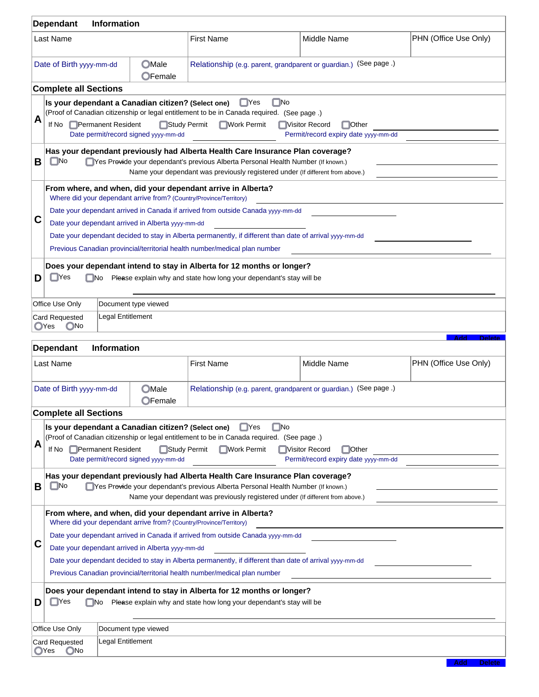|                                                        | <b>Dependant</b>                                                           | <b>Information</b> |                                                    |                                                                                                                                                                    |                                                                  |                                                                  |                             |  |  |
|--------------------------------------------------------|----------------------------------------------------------------------------|--------------------|----------------------------------------------------|--------------------------------------------------------------------------------------------------------------------------------------------------------------------|------------------------------------------------------------------|------------------------------------------------------------------|-----------------------------|--|--|
|                                                        | Last Name                                                                  |                    |                                                    | <b>First Name</b>                                                                                                                                                  |                                                                  | Middle Name                                                      | PHN (Office Use Only)       |  |  |
|                                                        | Date of Birth yyyy-mm-dd                                                   |                    | <b>OMale</b><br>OFemale                            |                                                                                                                                                                    | Relationship (e.g. parent, grandparent or guardian.) (See page.) |                                                                  |                             |  |  |
|                                                        | <b>Complete all Sections</b>                                               |                    |                                                    |                                                                                                                                                                    |                                                                  |                                                                  |                             |  |  |
|                                                        |                                                                            |                    | Is your dependant a Canadian citizen? (Select one) | $\blacksquare$ Yes                                                                                                                                                 | $\Box$ No                                                        |                                                                  |                             |  |  |
| А                                                      | If No                                                                      | Permanent Resident | Study Permit                                       | (Proof of Canadian citizenship or legal entitlement to be in Canada required. (See page.)<br><b>■Work Permit</b>                                                   |                                                                  | □Visitor Record<br><b>□</b> Other                                |                             |  |  |
|                                                        |                                                                            |                    | Date permit/record signed yyyy-mm-dd               |                                                                                                                                                                    |                                                                  | Permit/record expiry date yyyy-mm-dd                             |                             |  |  |
|                                                        |                                                                            |                    |                                                    | Has your dependant previously had Alberta Health Care Insurance Plan coverage?                                                                                     |                                                                  |                                                                  |                             |  |  |
| В                                                      | $\blacksquare$ No                                                          |                    |                                                    | Yes Provide your dependant's previous Alberta Personal Health Number (If known.)<br>Name your dependant was previously registered under (If different from above.) |                                                                  |                                                                  |                             |  |  |
|                                                        |                                                                            |                    |                                                    | From where, and when, did your dependant arrive in Alberta?                                                                                                        |                                                                  |                                                                  |                             |  |  |
|                                                        |                                                                            |                    |                                                    | Where did your dependant arrive from? (Country/Province/Territory)                                                                                                 |                                                                  |                                                                  |                             |  |  |
| С                                                      |                                                                            |                    |                                                    | Date your dependant arrived in Canada if arrived from outside Canada yyyy-mm-dd                                                                                    |                                                                  |                                                                  |                             |  |  |
|                                                        |                                                                            |                    | Date your dependant arrived in Alberta yyyy-mm-dd  | Date your dependant decided to stay in Alberta permanently, if different than date of arrival yyyy-mm-dd                                                           |                                                                  |                                                                  |                             |  |  |
|                                                        |                                                                            |                    |                                                    | Previous Canadian provincial/territorial health number/medical plan number                                                                                         |                                                                  |                                                                  |                             |  |  |
|                                                        |                                                                            |                    |                                                    | Does your dependant intend to stay in Alberta for 12 months or longer?                                                                                             |                                                                  |                                                                  |                             |  |  |
| D                                                      | $\mathsf{Yes}$                                                             | $\Box$ No          |                                                    | Please explain why and state how long your dependant's stay will be                                                                                                |                                                                  |                                                                  |                             |  |  |
|                                                        |                                                                            |                    |                                                    |                                                                                                                                                                    |                                                                  |                                                                  |                             |  |  |
|                                                        | Office Use Only                                                            |                    | Document type viewed                               |                                                                                                                                                                    |                                                                  |                                                                  |                             |  |  |
|                                                        | <b>Card Requested</b><br>OYes<br>$\bigcap$ No                              | Legal Entitlement  |                                                    |                                                                                                                                                                    |                                                                  |                                                                  |                             |  |  |
|                                                        |                                                                            |                    |                                                    |                                                                                                                                                                    |                                                                  |                                                                  | <b>Add</b><br><b>Delete</b> |  |  |
|                                                        | <b>Dependant</b>                                                           | Information        |                                                    |                                                                                                                                                                    |                                                                  |                                                                  |                             |  |  |
|                                                        | Last Name                                                                  |                    |                                                    | <b>First Name</b>                                                                                                                                                  |                                                                  | Middle Name                                                      | PHN (Office Use Only)       |  |  |
|                                                        | Date of Birth yyyy-mm-dd                                                   |                    | <b>OMale</b>                                       |                                                                                                                                                                    |                                                                  | Relationship (e.g. parent, grandparent or guardian.) (See page.) |                             |  |  |
|                                                        |                                                                            |                    | OFemale                                            |                                                                                                                                                                    |                                                                  |                                                                  |                             |  |  |
|                                                        | <b>Complete all Sections</b>                                               |                    |                                                    |                                                                                                                                                                    |                                                                  |                                                                  |                             |  |  |
|                                                        |                                                                            |                    | Is your dependant a Canadian citizen? (Select one) | ∣ ∥Yes<br>(Proof of Canadian citizenship or legal entitlement to be in Canada required. (See page.)                                                                | $\square$ No                                                     |                                                                  |                             |  |  |
| A                                                      | If No                                                                      | Permanent Resident | Study Permit                                       | <b>Nork Permit</b>                                                                                                                                                 |                                                                  | Visitor Record<br>$\Box$ Other                                   |                             |  |  |
|                                                        |                                                                            |                    | Date permit/record signed yyyy-mm-dd               |                                                                                                                                                                    |                                                                  | Permit/record expiry date yyyy-mm-dd                             |                             |  |  |
| В                                                      | $\n  No\n$                                                                 |                    |                                                    | Has your dependant previously had Alberta Health Care Insurance Plan coverage?<br>Yes Provide your dependant's previous Alberta Personal Health Number (If known.) |                                                                  |                                                                  |                             |  |  |
|                                                        |                                                                            |                    |                                                    | Name your dependant was previously registered under (If different from above.)                                                                                     |                                                                  |                                                                  |                             |  |  |
|                                                        | From where, and when, did your dependant arrive in Alberta?                |                    |                                                    |                                                                                                                                                                    |                                                                  |                                                                  |                             |  |  |
|                                                        |                                                                            |                    |                                                    | Where did your dependant arrive from? (Country/Province/Territory)<br>Date your dependant arrived in Canada if arrived from outside Canada yyyy-mm-dd              |                                                                  |                                                                  |                             |  |  |
| С<br>Date your dependant arrived in Alberta yyyy-mm-dd |                                                                            |                    |                                                    |                                                                                                                                                                    |                                                                  |                                                                  |                             |  |  |
|                                                        |                                                                            |                    |                                                    | Date your dependant decided to stay in Alberta permanently, if different than date of arrival yyyy-mm-dd                                                           |                                                                  |                                                                  |                             |  |  |
|                                                        | Previous Canadian provincial/territorial health number/medical plan number |                    |                                                    |                                                                                                                                                                    |                                                                  |                                                                  |                             |  |  |
|                                                        |                                                                            |                    |                                                    |                                                                                                                                                                    |                                                                  |                                                                  |                             |  |  |
|                                                        |                                                                            |                    |                                                    | Does your dependant intend to stay in Alberta for 12 months or longer?                                                                                             |                                                                  |                                                                  |                             |  |  |
| D                                                      | <b>TYes</b>                                                                | l No               |                                                    | Please explain why and state how long your dependant's stay will be                                                                                                |                                                                  |                                                                  |                             |  |  |
|                                                        |                                                                            |                    |                                                    |                                                                                                                                                                    |                                                                  |                                                                  |                             |  |  |
|                                                        | Office Use Only<br>Card Requested                                          | Legal Entitlement  | Document type viewed                               |                                                                                                                                                                    |                                                                  |                                                                  |                             |  |  |